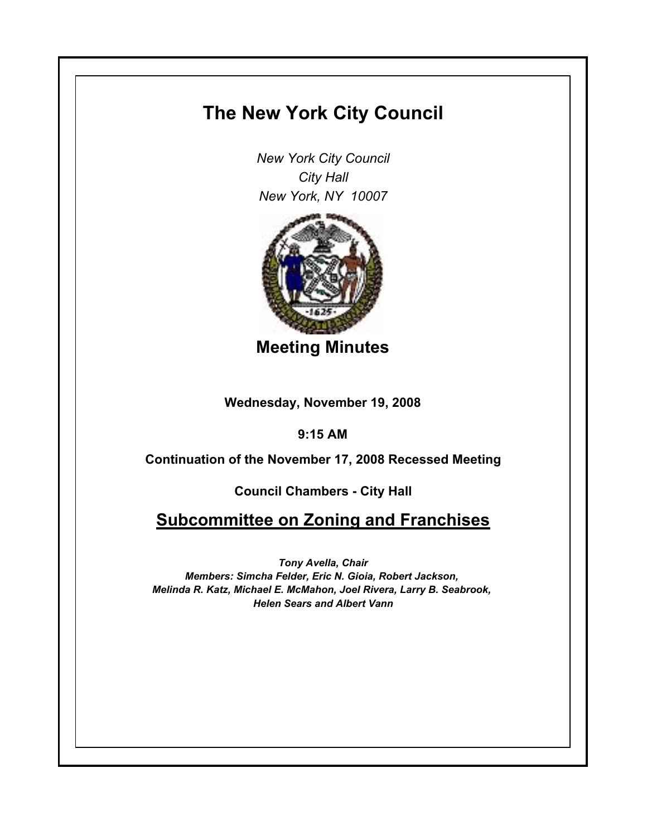## **The New York City Council**

*New York City Council City Hall New York, NY 10007*



**Meeting Minutes**

**Wednesday, November 19, 2008**

**9:15 AM**

**Continuation of the November 17, 2008 Recessed Meeting**

**Council Chambers - City Hall**

**Subcommittee on Zoning and Franchises**

*Tony Avella, Chair Members: Simcha Felder, Eric N. Gioia, Robert Jackson, Melinda R. Katz, Michael E. McMahon, Joel Rivera, Larry B. Seabrook, Helen Sears and Albert Vann*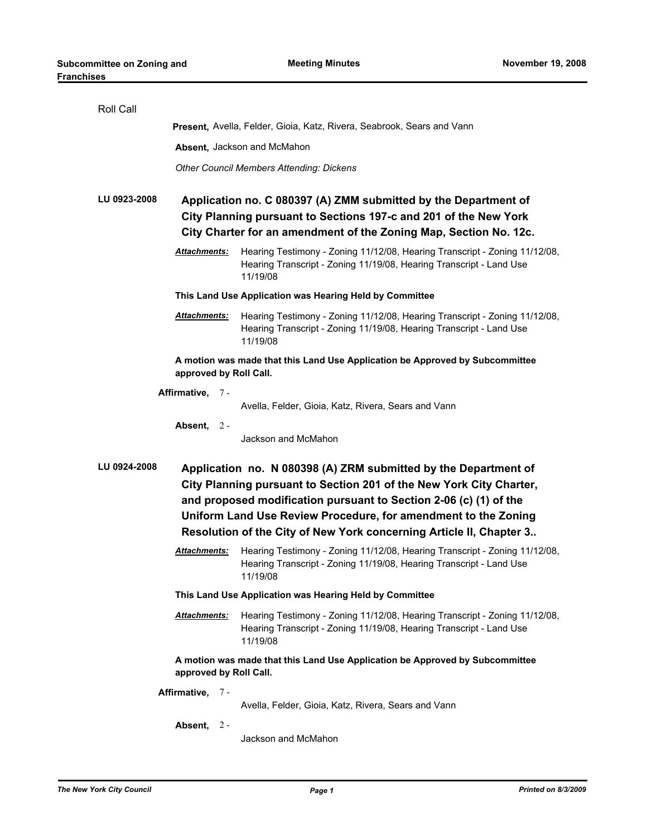| Roll Call                                                                                                                                                                                                                   |                                                                                                                                                                                                          |                                                                                                                                                               |  |
|-----------------------------------------------------------------------------------------------------------------------------------------------------------------------------------------------------------------------------|----------------------------------------------------------------------------------------------------------------------------------------------------------------------------------------------------------|---------------------------------------------------------------------------------------------------------------------------------------------------------------|--|
|                                                                                                                                                                                                                             | Present, Avella, Felder, Gioia, Katz, Rivera, Seabrook, Sears and Vann                                                                                                                                   |                                                                                                                                                               |  |
|                                                                                                                                                                                                                             | Absent, Jackson and McMahon                                                                                                                                                                              |                                                                                                                                                               |  |
|                                                                                                                                                                                                                             | <b>Other Council Members Attending: Dickens</b>                                                                                                                                                          |                                                                                                                                                               |  |
| LU 0923-2008                                                                                                                                                                                                                | Application no. C 080397 (A) ZMM submitted by the Department of<br>City Planning pursuant to Sections 197-c and 201 of the New York<br>City Charter for an amendment of the Zoning Map, Section No. 12c. |                                                                                                                                                               |  |
|                                                                                                                                                                                                                             | <b>Attachments:</b>                                                                                                                                                                                      | Hearing Testimony - Zoning 11/12/08, Hearing Transcript - Zoning 11/12/08,<br>Hearing Transcript - Zoning 11/19/08, Hearing Transcript - Land Use<br>11/19/08 |  |
|                                                                                                                                                                                                                             | This Land Use Application was Hearing Held by Committee                                                                                                                                                  |                                                                                                                                                               |  |
|                                                                                                                                                                                                                             | <b>Attachments:</b>                                                                                                                                                                                      | Hearing Testimony - Zoning 11/12/08, Hearing Transcript - Zoning 11/12/08,<br>Hearing Transcript - Zoning 11/19/08, Hearing Transcript - Land Use<br>11/19/08 |  |
| A motion was made that this Land Use Application be Approved by Subcommittee<br>approved by Roll Call.                                                                                                                      |                                                                                                                                                                                                          |                                                                                                                                                               |  |
| Affirmative, 7-                                                                                                                                                                                                             |                                                                                                                                                                                                          |                                                                                                                                                               |  |
|                                                                                                                                                                                                                             |                                                                                                                                                                                                          | Avella, Felder, Gioia, Katz, Rivera, Sears and Vann                                                                                                           |  |
|                                                                                                                                                                                                                             | Absent, $2 -$                                                                                                                                                                                            | Jackson and McMahon                                                                                                                                           |  |
| LU 0924-2008<br>Application no. N 080398 (A) ZRM submitted by the Department of<br>City Planning pursuant to Section 201 of the New York City Charter,<br>and proposed modification pursuant to Section 2-06 (c) (1) of the |                                                                                                                                                                                                          |                                                                                                                                                               |  |
| Uniform Land Use Review Procedure, for amendment to the Zoning                                                                                                                                                              |                                                                                                                                                                                                          |                                                                                                                                                               |  |
| Resolution of the City of New York concerning Article II, Chapter 3                                                                                                                                                         |                                                                                                                                                                                                          |                                                                                                                                                               |  |
|                                                                                                                                                                                                                             | <b>Attachments:</b>                                                                                                                                                                                      | Hearing Testimony - Zoning 11/12/08, Hearing Transcript - Zoning 11/12/08,<br>Hearing Transcript - Zoning 11/19/08, Hearing Transcript - Land Use<br>11/19/08 |  |
| This Land Use Application was Hearing Held by Committee                                                                                                                                                                     |                                                                                                                                                                                                          |                                                                                                                                                               |  |
|                                                                                                                                                                                                                             | Attachments:                                                                                                                                                                                             | Hearing Testimony - Zoning 11/12/08, Hearing Transcript - Zoning 11/12/08,<br>Hearing Transcript - Zoning 11/19/08, Hearing Transcript - Land Use<br>11/19/08 |  |
| A motion was made that this Land Use Application be Approved by Subcommittee<br>approved by Roll Call.                                                                                                                      |                                                                                                                                                                                                          |                                                                                                                                                               |  |
|                                                                                                                                                                                                                             | Affirmative, 7-                                                                                                                                                                                          | Avella, Felder, Gioia, Katz, Rivera, Sears and Vann                                                                                                           |  |
|                                                                                                                                                                                                                             | Absent, 2-                                                                                                                                                                                               | Jackson and McMahon                                                                                                                                           |  |